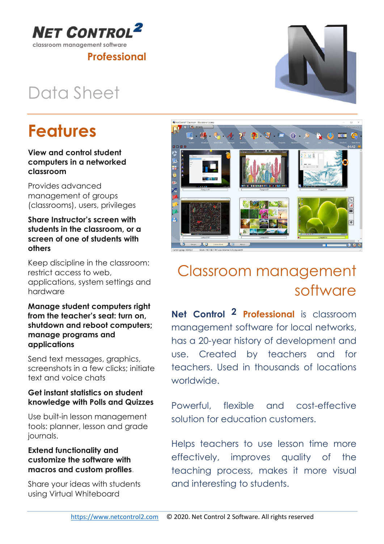

## Data Sheet

**NET CONTRO** 

## Features

#### View and control student computers in a networked classroom

Provides advanced management of groups (classrooms), users, privileges

#### Share Instructor's screen with students in the classroom, or a screen of one of students with others

Keep discipline in the classroom: restrict access to web, applications, system settings and hardware

Manage student computers right from the teacher's seat: turn on, shutdown and reboot computers; manage programs and applications

Send text messages, graphics, screenshots in a few clicks; initiate text and voice chats

### Get instant statistics on student knowledge with Polls and Quizzes

Use built-in lesson management tools: planner, lesson and grade journals.

#### Extend functionality and customize the software with macros and custom profiles.

Share your ideas with students using Virtual Whiteboard

### Classroom management software

Net Control 2 Professional is classroom management software for local networks, has a 20-year history of development and use. Created by teachers and for teachers. Used in thousands of locations worldwide.

Powerful, flexible and cost-effective solution for education customers.

Helps teachers to use lesson time more effectively, improves quality of the teaching process, makes it more visual and interesting to students.